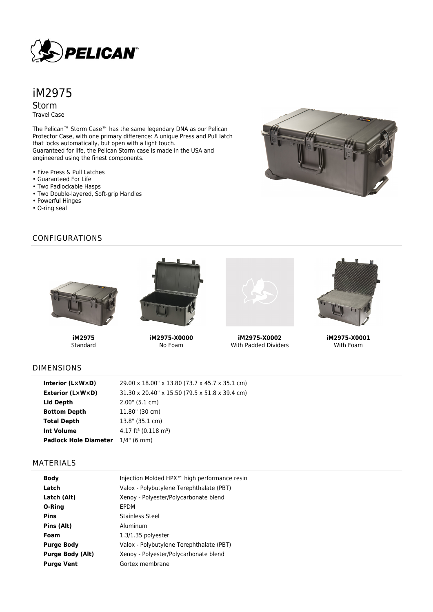

# iM2975 Storm Travel Case

The Pelican™ Storm Case™ has the same legendary DNA as our Pelican Protector Case, with one primary difference: A unique Press and Pull latch that locks automatically, but open with a light touch. Guaranteed for life, the Pelican Storm case is made in the USA and engineered using the finest components.

- Five Press & Pull Latches
- Guaranteed For Life
- Two Padlockable Hasps
- Two Double-layered, Soft-grip Handles
- Powerful Hinges
- O-ring seal





**iM2975 Standard** 



**iM2975-X0000** No Foam



**iM2975-X0002** With Padded Dividers



**iM2975-X0001** With Foam

### DIMENSIONS

| Interior $(L \times W \times D)$         | 29.00 x 18.00" x 13.80 (73.7 x 45.7 x 35.1 cm) |
|------------------------------------------|------------------------------------------------|
| <b>Exterior (L×W×D)</b>                  | 31.30 x 20.40" x 15.50 (79.5 x 51.8 x 39.4 cm) |
| Lid Depth                                | 2.00" (5.1 cm)                                 |
| <b>Bottom Depth</b>                      | 11.80" (30 cm)                                 |
| <b>Total Depth</b>                       | $13.8"$ (35.1 cm)                              |
| <b>Int Volume</b>                        | 4.17 ft <sup>3</sup> (0.118 m <sup>3</sup> )   |
| <b>Padlock Hole Diameter</b> 1/4" (6 mm) |                                                |

#### MATERIALS

| <b>Body</b>             | Injection Molded HPX <sup>™</sup> high performance resin |
|-------------------------|----------------------------------------------------------|
| Latch                   | Valox - Polybutylene Terephthalate (PBT)                 |
| Latch (Alt)             | Xenoy - Polyester/Polycarbonate blend                    |
| O-Ring                  | <b>EPDM</b>                                              |
| Pins                    | Stainless Steel                                          |
| Pins (Alt)              | Aluminum                                                 |
| Foam                    | $1.3/1.35$ polyester                                     |
| <b>Purge Body</b>       | Valox - Polybutylene Terephthalate (PBT)                 |
| <b>Purge Body (Alt)</b> | Xenoy - Polyester/Polycarbonate blend                    |
| <b>Purge Vent</b>       | Gortex membrane                                          |